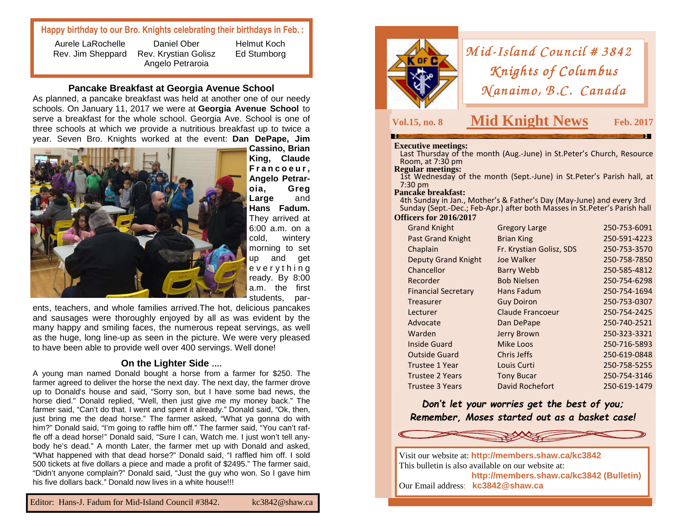# **Happy birthday to our Bro. Knights celebrating their birthdays in Feb. :**

Aurele LaRochelle Rev. Jim Sheppard

Daniel Ober Rev. Krystian Golisz Angelo Petraroia

#### **Pancake Breakfast at Georgia Avenue School**

 As planned, a pancake breakfast was held at another one of our needy schools. On January 11, 2017 we were at **Georgia Avenue School** to serve a breakfast for the whole school. Georgia Ave. School is one of three schools at which we provide a nutritious breakfast up to twice a year. Seven Bro. Knights worked at the event: **Dan DePape, Jim** 



 **Cassino, Brian King, Claude F <sup>r</sup> <sup>a</sup> <sup>n</sup> <sup>c</sup> <sup>o</sup> <sup>e</sup> <sup>u</sup> <sup>r</sup> , Angelo Petraroia, Greg** and **Large Hans Fadum.** They arrived at 6:00 a.m. on a cold, wintery morning to set up and get <sup>e</sup> <sup>v</sup> <sup>e</sup> <sup>r</sup> y <sup>t</sup> h i <sup>n</sup> g ready. By 8:00 a.m. the first students, par-

Helmut Koch Ed Stumborg

ents, teachers, and whole families arrived.The hot, delicious pancakes and sausages were thoroughly enjoyed by all as was evident by the many happy and smiling faces, the numerous repeat servings, as well as the huge, long line-up as seen in the picture. We were very pleased to have been able to provide well over 400 servings. Well done!

# **On the Lighter Side ….**

 A young man named Donald bought a horse from a farmer for \$250. The farmer agreed to deliver the horse the next day. The next day, the farmer drove up to Donald's house and said, "Sorry son, but I have some bad news, the horse died." Donald replied, "Well, then just give me my money back." The farmer said, "Can't do that. I went and spent it already." Donald said, "Ok, then, just bring me the dead horse." The farmer asked, "What ya gonna do with him?" Donald said, "I'm going to raffle him off." The farmer said, "You can't raffle off a dead horse!" Donald said, "Sure I can, Watch me. I just won't tell anybody he's dead." A month Later, the farmer met up with Donald and asked, "What happened with that dead horse?" Donald said, "I raffled him off. I sold 500 tickets at five dollars a piece and made a profit of \$2495." The farmer said, "Didn't anyone complain?" Donald said, "Just the guy who won. So I gave him his five dollars back." Donald now lives in a white house!!!



# *Mid-Island Council # 3842*<br>*Knights of Columbus Knights of Columbus<br>(anaimo, B.C. Canadı*  $Manaino, B.C. Canada$

# **Vol.15, no. 8 Mid Knight News**

**S** Feb. 2017

**Executive meetings:** Last Thursday of the month (Aug.-June) in St.Peter's Church, Resource Room, at 7:30 pm<br>**Regular meetings:** 

1st Wednesday of the month (Sept.-June) in St.Peter's Parish hall, at 7:30 pm

#### **Pancake breakfast:**

 4th Sunday in Jan., Mother's & Father's Day (May-June) and every 3rd Sunday (Sept.-Dec.; Feb-Apr.) after both Masses in St.Peter's Parish hall

#### **Officers for 2016/2017**

| <b>Grand Knight</b>        | <b>Gregory Large</b>     | 250-753-6091 |
|----------------------------|--------------------------|--------------|
| <b>Past Grand Knight</b>   | <b>Brian King</b>        | 250-591-4223 |
| Chaplain                   | Fr. Krystian Golisz, SDS | 250-753-3570 |
| <b>Deputy Grand Knight</b> | Joe Walker               | 250-758-7850 |
| Chancellor                 | <b>Barry Webb</b>        | 250-585-4812 |
| Recorder                   | <b>Bob Nielsen</b>       | 250-754-6298 |
| <b>Financial Secretary</b> | Hans Fadum               | 250-754-1694 |
| Treasurer                  | <b>Guy Doiron</b>        | 250-753-0307 |
| Lecturer                   | <b>Claude Francoeur</b>  | 250-754-2425 |
| Advocate                   | Dan DePape               | 250-740-2521 |
| Warden                     | Jerry Brown              | 250-323-3321 |
| Inside Guard               | Mike Loos                | 250-716-5893 |
| <b>Outside Guard</b>       | Chris Jeffs              | 250-619-0848 |
| <b>Trustee 1 Year</b>      | Louis Curti              | 250-758-5255 |
| <b>Trustee 2 Years</b>     | <b>Tony Bucar</b>        | 250-754-3146 |
| Trustee 3 Years            | David Rochefort          | 250-619-1479 |
|                            |                          |              |

*Don't let your worries get the best of you; Remember, Moses started out as a basket case!* 



Visit our website at: **http://members.shaw.ca/kc3842** This bulletin is also available on our website at: **http://members.shaw.ca/kc3842 (Bulletin)** Our Email address: **kc3842@shaw.ca**